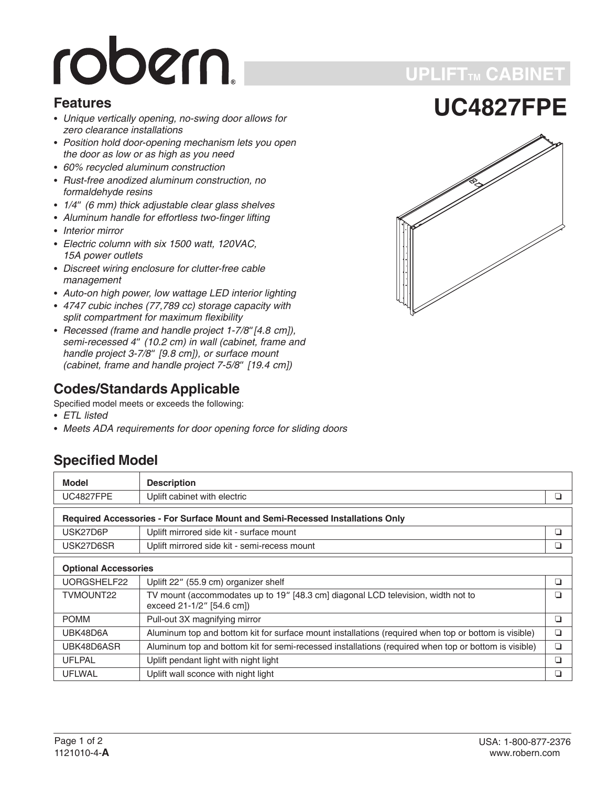# robern.

#### **Features**

- *Unique vertically opening, no-swing door allows for zero clearance installations*
- *Position hold door-opening mechanism lets you open the door as low or as high as you need*
- *60% recycled aluminum construction*
- *Rust-free anodized aluminum construction, no formaldehyde resins* • Hust-free anodized aluminum construction, no<br>formaldehyde resins<br>• 1/4" (6 mm) thick adjustable clear glass shelves
- 
- *Aluminum handle for effortless two-finger lifting* -
- *Interior mirror* -
- *Electric column with six 1500 watt, 120VAC, 15A power outlets*
- *Discreet wiring enclosure for clutter-free cable management*
- *Auto-on high power, low wattage LED interior lighting* -
- *4747 cubic inches (77,789 cc) storage capacity with split compartment for maximum flexibility* • 4747 cubic inches (77,789 cc) storage capacity with<br>split compartment for maximum flexibility<br>• Recessed (frame and handle project 1-7/8"[4.8 cm]),
- *spiit compartment<br>Recessed (frame<br>semi-recessed 4" (10.2 cm) in wall (cabinet, frame and Hecessed (trame and<br>semi-recessed 4" (1)<br>handle project 3-7/8" [9.8 cm]), or surface mount semi-recessed 4" (10.2 cm) in wall (cabir<br>handle project 3-7/8" [9.8 cm]), or surfact<br>(cabinet, frame and handle project 7-5/8" (cabinet, frame and handle project 7-5/8" [19.4 cm])*

#### **Codes/Standards Applicable**

Specified model meets or exceeds the following:

- *ETL listed*
- *Meets ADA requirements for door opening force for sliding doors*

#### **Specified Model**

| Model                                                                         | <b>Description</b>                                                                                            |   |  |
|-------------------------------------------------------------------------------|---------------------------------------------------------------------------------------------------------------|---|--|
| <b>UC4827FPE</b>                                                              | Uplift cabinet with electric                                                                                  | ❏ |  |
| Required Accessories - For Surface Mount and Semi-Recessed Installations Only |                                                                                                               |   |  |
| USK27D6P                                                                      | Uplift mirrored side kit - surface mount                                                                      | ❏ |  |
| USK27D6SR                                                                     | Uplift mirrored side kit - semi-recess mount                                                                  |   |  |
| <b>Optional Accessories</b>                                                   |                                                                                                               |   |  |
| UORGSHELF22                                                                   | Uplift 22" (55.9 cm) organizer shelf                                                                          | ❏ |  |
| TVMOUNT22                                                                     | TV mount (accommodates up to 19" [48.3 cm] diagonal LCD television, width not to<br>exceed 21-1/2" [54.6 cm]) | ◻ |  |
| <b>POMM</b>                                                                   | Pull-out 3X magnifying mirror                                                                                 | ❏ |  |
| UBK48D6A                                                                      | Aluminum top and bottom kit for surface mount installations (required when top or bottom is visible)          | ❏ |  |
| UBK48D6ASR                                                                    | Aluminum top and bottom kit for semi-recessed installations (required when top or bottom is visible)          | ❏ |  |
| <b>UFLPAL</b>                                                                 | Uplift pendant light with night light                                                                         | ❏ |  |
| <b>UFLWAL</b>                                                                 | Uplift wall sconce with night light                                                                           | ❏ |  |

**UC4827FPE**

**UPLIFTTM CABINET**